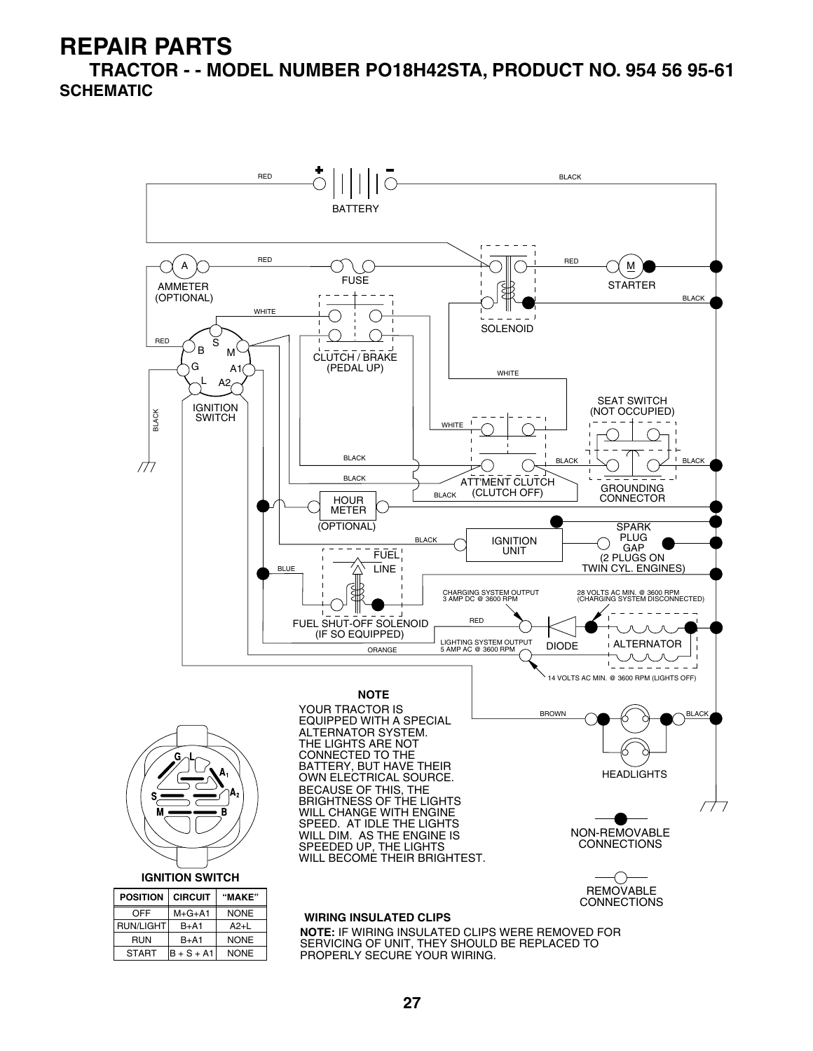**TRACTOR - - MODEL NUMBER PO18H42STA, PRODUCT NO. 954 56 95-61 SCHEMATIC**

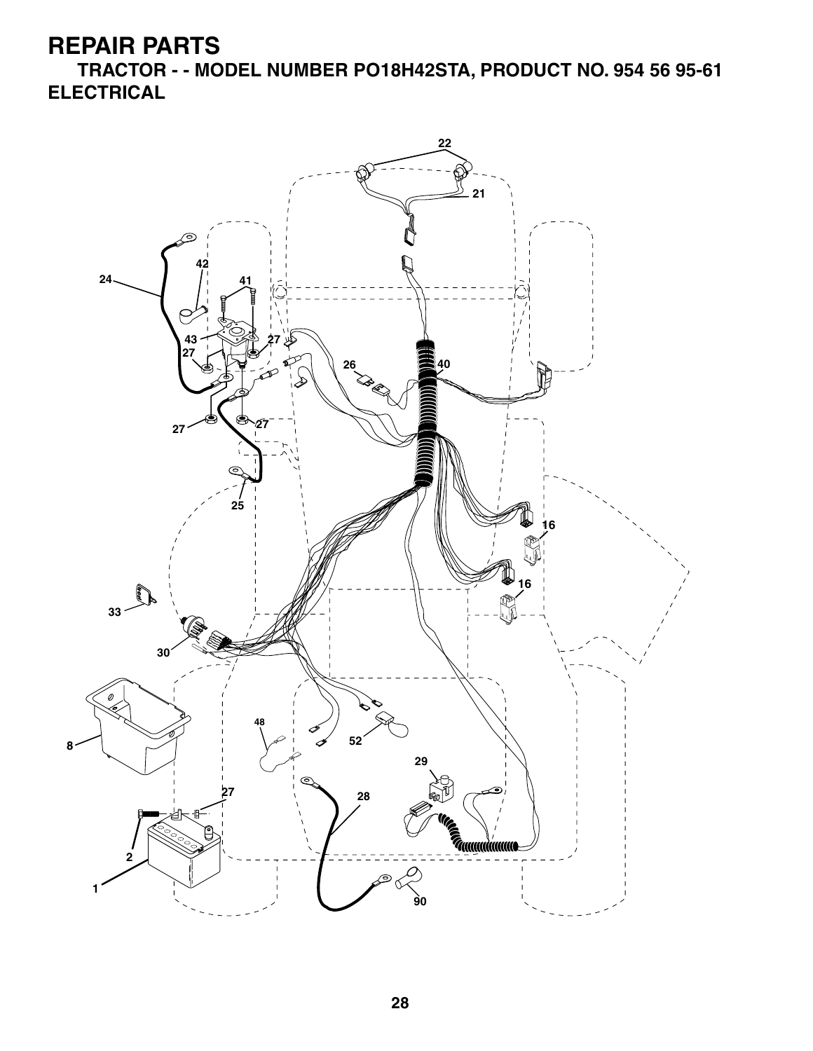**TRACTOR - - MODEL NUMBER PO18H42STA, PRODUCT NO. 954 56 95-61 ELECTRICAL**

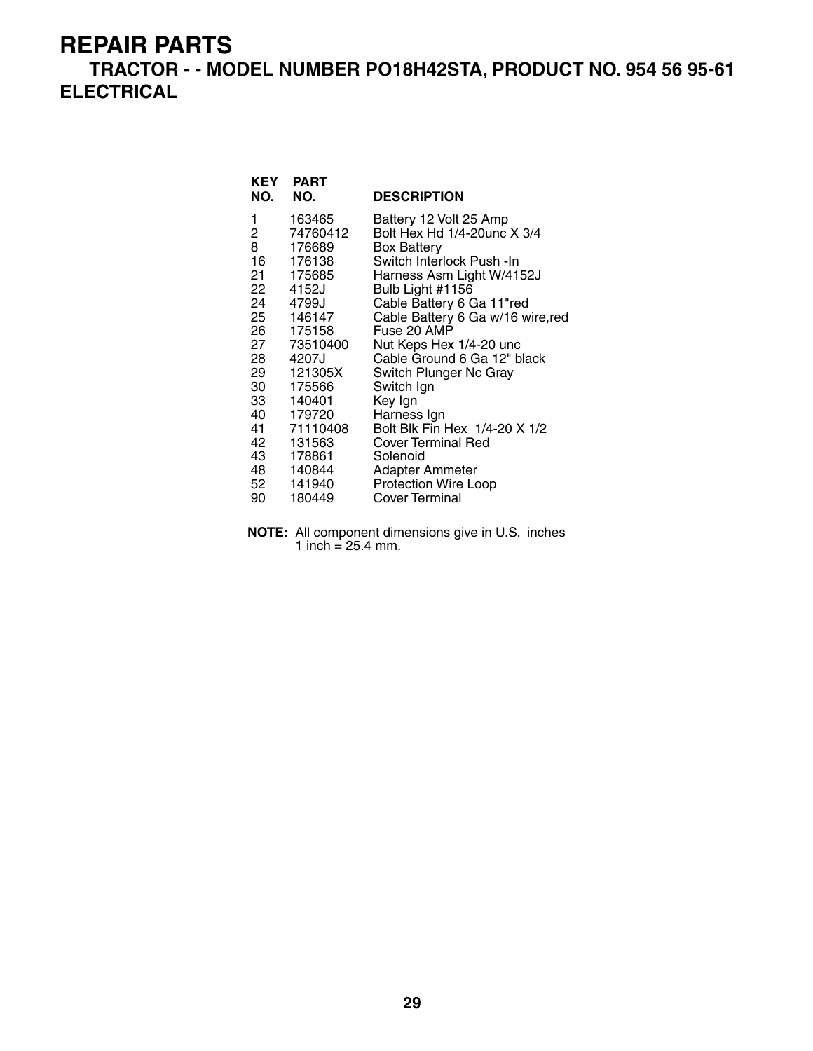#### **TRACTOR - - MODEL NUMBER PO18H42STA, PRODUCT NO. 954 56 95-61 ELECTRICAL**

| KEY<br>NO.                                                                                                                           | <b>PART</b><br>NO.                                                                                                                                                                                                 | <b>DESCRIPTION</b>                                                                                                                                                                                                                                                                                                                                                                                                                                                                                                    |
|--------------------------------------------------------------------------------------------------------------------------------------|--------------------------------------------------------------------------------------------------------------------------------------------------------------------------------------------------------------------|-----------------------------------------------------------------------------------------------------------------------------------------------------------------------------------------------------------------------------------------------------------------------------------------------------------------------------------------------------------------------------------------------------------------------------------------------------------------------------------------------------------------------|
| 1<br>2<br>8<br>16<br>21<br>22<br>24<br>25<br>26<br>27<br>28<br>29<br>30<br>33<br>40<br>41<br>42<br>43<br>48<br>52 <sub>2</sub><br>90 | 163465<br>74760412<br>176689<br>176138<br>175685<br>4152J<br>4799J<br>146147<br>175158<br>73510400<br>4207J<br>121305X<br>175566<br>140401<br>179720<br>71110408<br>131563<br>178861<br>140844<br>141940<br>180449 | Battery 12 Volt 25 Amp<br>Bolt Hex Hd 1/4-20unc X 3/4<br><b>Box Battery</b><br>Switch Interlock Push - In<br>Harness Asm Light W/4152J<br>Bulb Light #1156<br>Cable Battery 6 Ga 11"red<br>Cable Battery 6 Ga w/16 wire, red<br>Fuse 20 AMP<br>Nut Keps Hex 1/4-20 unc<br>Cable Ground 6 Ga 12" black<br>Switch Plunger Nc Gray<br>Switch Ign<br>Key Ign<br>Harness Ign<br>Bolt Blk Fin Hex 1/4-20 X 1/2<br><b>Cover Terminal Red</b><br>Solenoid<br>Adapter Ammeter<br><b>Protection Wire Loop</b><br>Cover Terminal |

**NOTE:** All component dimensions give in U.S. inches 1 inch =  $25.4 \, \text{mm}$ .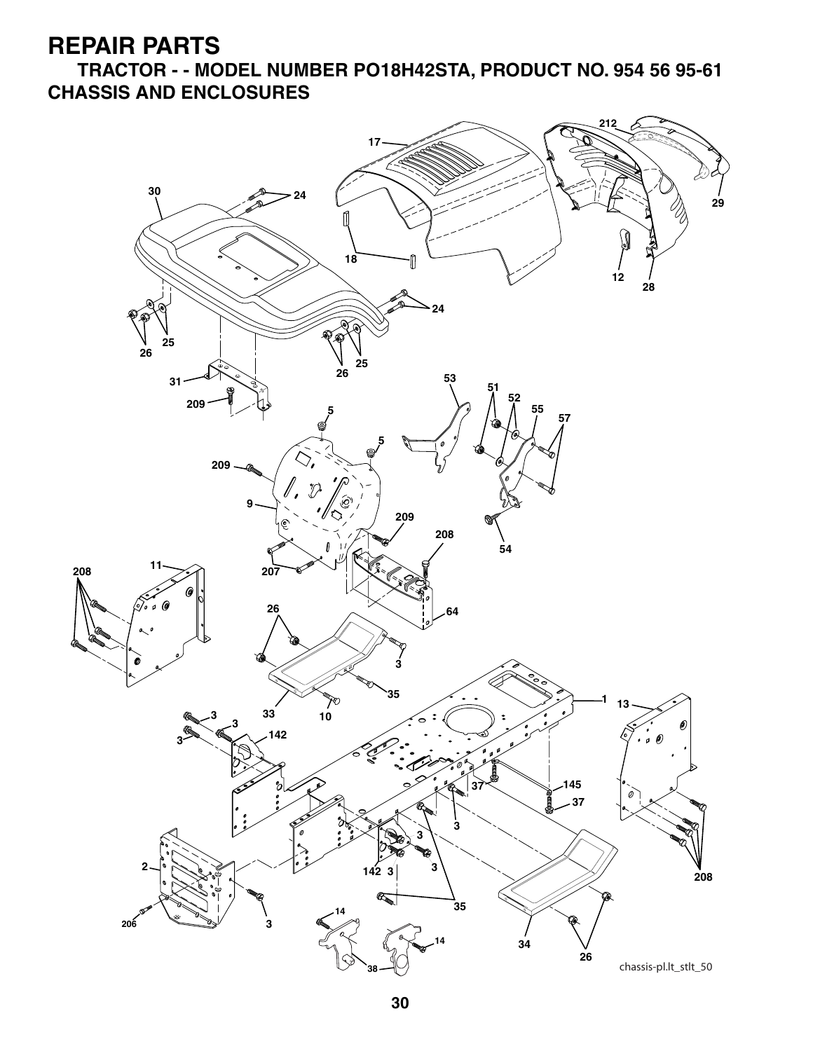**TRACTOR - - MODEL NUMBER PO18H42STA, PRODUCT NO. 954 56 95-61 CHASSIS AND ENCLOSURES**

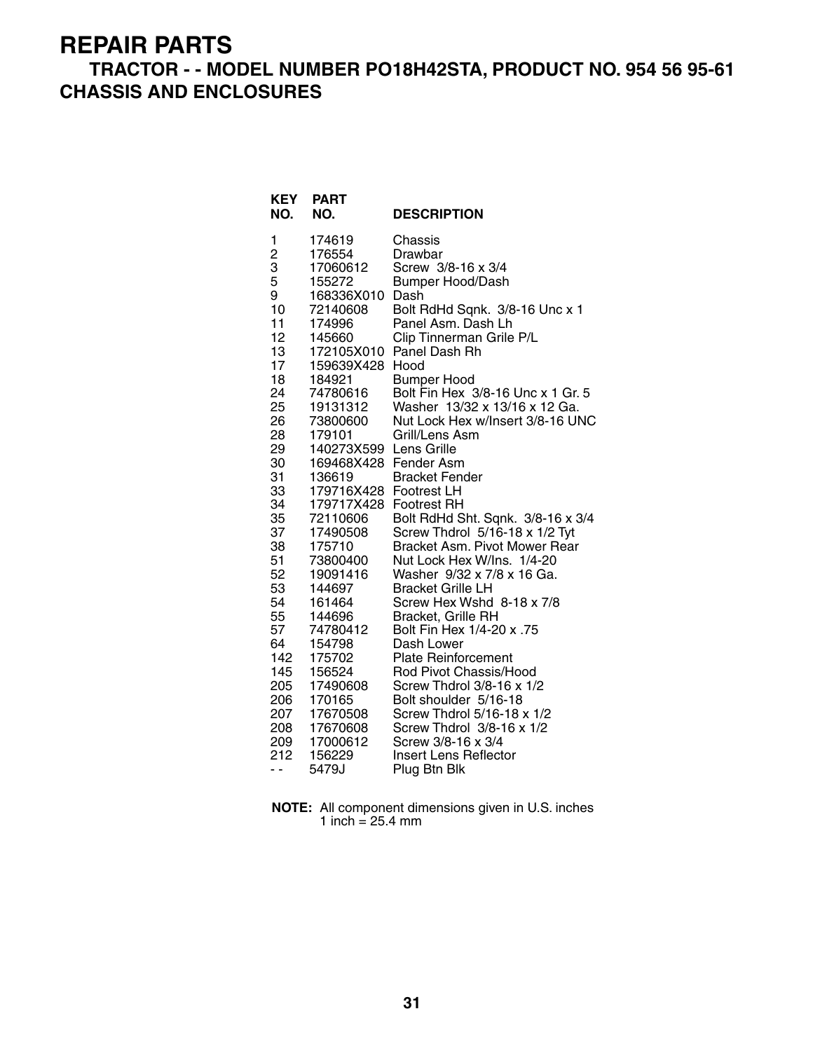#### **TRACTOR - - MODEL NUMBER PO18H42STA, PRODUCT NO. 954 56 95-61 CHASSIS AND ENCLOSURES**

| KEY<br>NO.              | <b>PART</b><br>NO.     | <b>DESCRIPTION</b>                                      |
|-------------------------|------------------------|---------------------------------------------------------|
| 1                       | 174619                 | Chassis                                                 |
| $\overline{\mathbf{c}}$ | 176554                 | Drawbar                                                 |
| 3                       | 17060612               | Screw 3/8-16 x 3/4                                      |
| 5                       | 155272                 | <b>Bumper Hood/Dash</b>                                 |
| 9                       | 168336X010             | Dash                                                    |
| 10                      | 72140608               | Bolt RdHd Sqnk. 3/8-16 Unc x 1                          |
| 11                      | 174996                 | Panel Asm. Dash Lh                                      |
| 12                      | 145660                 | Clip Tinnerman Grile P/L                                |
| 13                      | 172105X010             | Panel Dash Rh                                           |
| 17                      | 159639X428             | Hood                                                    |
| 18<br>24                | 184921                 | <b>Bumper Hood</b><br>Bolt Fin Hex 3/8-16 Unc x 1 Gr. 5 |
| 25                      | 74780616               | Washer 13/32 x 13/16 x 12 Ga.                           |
| 26                      | 19131312<br>73800600   | Nut Lock Hex w/Insert 3/8-16 UNC                        |
| 28                      | 179101                 | Grill/Lens Asm                                          |
| 29                      | 140273X599 Lens Grille |                                                         |
| 30                      | 169468X428 Fender Asm  |                                                         |
| 31                      | 136619                 | <b>Bracket Fender</b>                                   |
| 33                      | 179716X428 Footrest LH |                                                         |
| 34                      | 179717X428             | <b>Footrest RH</b>                                      |
| 35                      | 72110606               | Bolt RdHd Sht. Sqnk. 3/8-16 x 3/4                       |
| 37                      | 17490508               | Screw Thdrol 5/16-18 x 1/2 Tyt                          |
| 38                      | 175710                 | Bracket Asm. Pivot Mower Rear                           |
| 51                      | 73800400               | Nut Lock Hex W/Ins. 1/4-20                              |
| 52                      | 19091416               | Washer 9/32 x 7/8 x 16 Ga.                              |
| 53                      | 144697                 | <b>Bracket Grille LH</b>                                |
| 54                      | 161464                 | Screw Hex Wshd 8-18 x 7/8                               |
| 55                      | 144696                 | <b>Bracket, Grille RH</b>                               |
| 57                      | 74780412               | 57. Bolt Fin Hex 1/4-20 x                               |
| 64                      | 154798                 | Dash Lower                                              |
| 142                     | 175702                 | <b>Plate Reinforcement</b>                              |
| 145                     | 156524                 | Rod Pivot Chassis/Hood                                  |
| 205                     | 17490608               | Screw Thdrol 3/8-16 x 1/2                               |
| 206                     | 170165                 | Bolt shoulder 5/16-18                                   |
| 207                     | 17670508               | Screw Thdrol 5/16-18 x 1/2                              |
| 208                     | 17670608               | Screw Thdrol 3/8-16 x 1/2                               |
| 209                     | 17000612               | Screw 3/8-16 x 3/4                                      |
| 212                     | 156229                 | <b>Insert Lens Reflector</b>                            |
| . .                     | 5479J                  | Plug Btn Blk                                            |

**NOTE:** All component dimensions given in U.S. inches 1 inch = 25.4 mm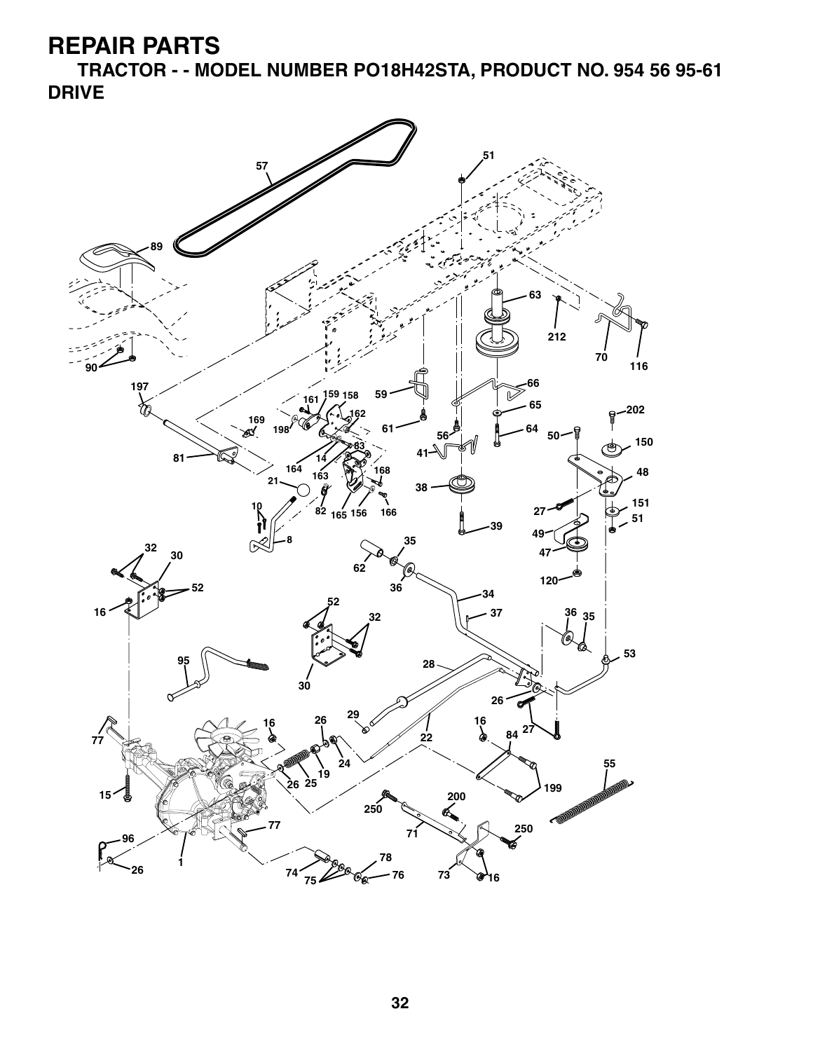**TRACTOR - - MODEL NUMBER PO18H42STA, PRODUCT NO. 954 56 95-61 DRIVE**

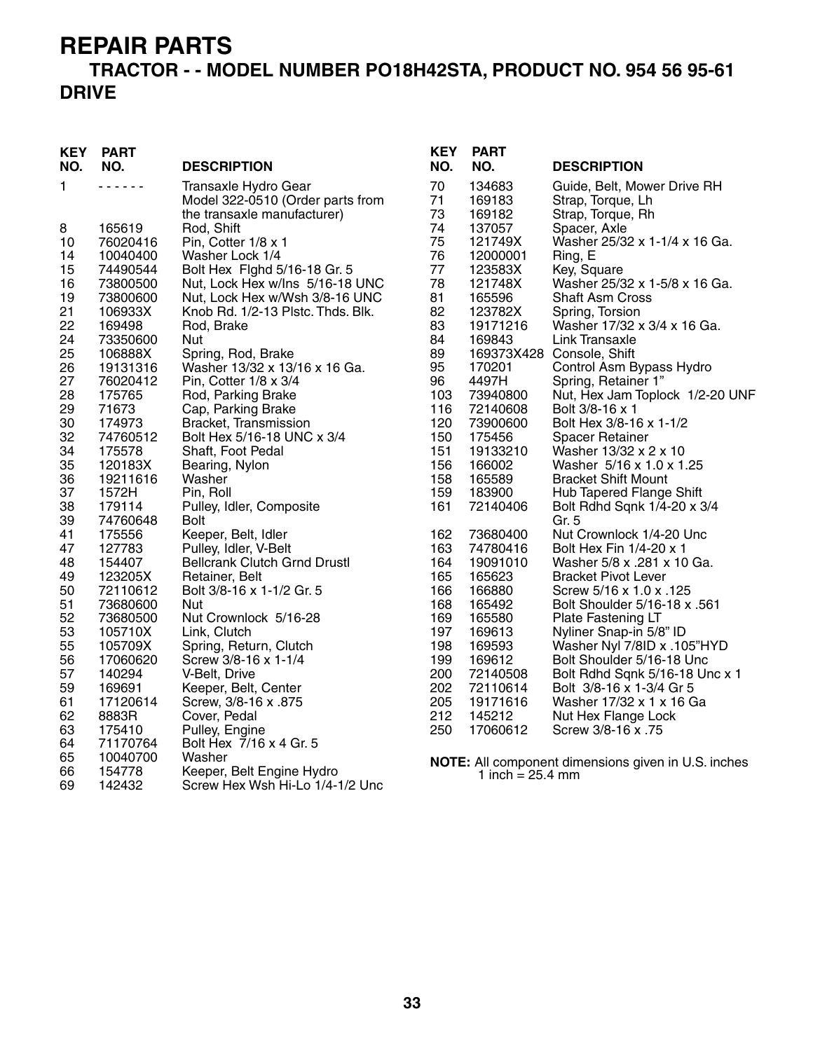#### **TRACTOR - - MODEL NUMBER PO18H42STA, PRODUCT NO. 954 56 95-61 DRIVE**

| <b>KEY</b><br>NO. | <b>PART</b><br>NO.  | <b>DESCRIPTION</b>                                                                      | <b>KEY</b><br>NO. | <b>PART</b><br>NO.         | <b>DESCRIPTION</b>                                                    |
|-------------------|---------------------|-----------------------------------------------------------------------------------------|-------------------|----------------------------|-----------------------------------------------------------------------|
| 1                 | .                   | Transaxle Hydro Gear<br>Model 322-0510 (Order parts from<br>the transaxle manufacturer) | 70<br>71<br>73    | 134683<br>169183<br>169182 | Guide, Belt, Mower Drive RH<br>Strap, Torque, Lh<br>Strap, Torque, Rh |
| 8                 | 165619              | Rod, Shift                                                                              | 74                | 137057                     | Spacer, Axle                                                          |
| 10                | 76020416            | Pin, Cotter 1/8 x 1                                                                     | 75                | 121749X                    | Washer 25/32 x 1-1/4 x 16 Ga.                                         |
| 14                | 10040400            | Washer Lock 1/4                                                                         | 76                | 12000001                   | Ring, E                                                               |
| 15                | 74490544            | Bolt Hex Fighd 5/16-18 Gr. 5                                                            | 77                | 123583X                    | Key, Square                                                           |
| 16                | 73800500            | Nut, Lock Hex w/Ins 5/16-18 UNC                                                         | 78                | 121748X                    | Washer 25/32 x 1-5/8 x 16 Ga.                                         |
| 19                | 73800600            | Nut, Lock Hex w/Wsh 3/8-16 UNC                                                          | 81                | 165596                     | <b>Shaft Asm Cross</b>                                                |
| 21<br>22          | 106933X<br>169498   | Knob Rd. 1/2-13 Plstc. Thds. Blk.<br>Rod, Brake                                         | 82<br>83          | 123782X<br>19171216        | Spring, Torsion<br>Washer 17/32 x 3/4 x 16 Ga.                        |
| 24                | 73350600            | Nut                                                                                     | 84                | 169843                     | <b>Link Transaxle</b>                                                 |
| 25                | 106888X             | Spring, Rod, Brake                                                                      | 89                |                            | 169373X428 Console, Shift                                             |
| 26                | 19131316            | Washer 13/32 x 13/16 x 16 Ga.                                                           | 95                | 170201                     | Control Asm Bypass Hydro                                              |
| 27                | 76020412            | Pin, Cotter 1/8 x 3/4                                                                   | 96                | 4497H                      | Spring, Retainer 1"                                                   |
| 28                | 175765              | Rod, Parking Brake                                                                      | 103               | 73940800                   | Nut, Hex Jam Toplock 1/2-20 UNF                                       |
| 29                | 71673               | Cap, Parking Brake                                                                      | 116               | 72140608                   | Bolt 3/8-16 x 1                                                       |
| 30                | 174973              | Bracket, Transmission                                                                   | 120               | 73900600                   | Bolt Hex 3/8-16 x 1-1/2                                               |
| 32                | 74760512            | Bolt Hex 5/16-18 UNC x 3/4                                                              | 150               | 175456                     | Spacer Retainer                                                       |
| 34                | 175578              | Shaft, Foot Pedal                                                                       | 151               | 19133210                   | Washer 13/32 x 2 x 10                                                 |
| 35<br>36          | 120183X<br>19211616 | Bearing, Nylon<br>Washer                                                                | 156<br>158        | 166002<br>165589           | Washer 5/16 x 1.0 x 1.25<br><b>Bracket Shift Mount</b>                |
| 37                | 1572H               | Pin, Roll                                                                               | 159               | 183900                     | Hub Tapered Flange Shift                                              |
| 38                | 179114              | Pulley, Idler, Composite                                                                | 161               | 72140406                   | Bolt Rdhd Sqnk 1/4-20 x 3/4                                           |
| 39                | 74760648            | <b>Bolt</b>                                                                             |                   |                            | Gr. 5                                                                 |
| 41                | 175556              | Keeper, Belt, Idler                                                                     | 162               | 73680400                   | Nut Crownlock 1/4-20 Unc                                              |
| 47                | 127783              | Pulley, Idler, V-Belt                                                                   | 163               | 74780416                   | Bolt Hex Fin 1/4-20 x 1                                               |
| 48                | 154407              | <b>Bellcrank Clutch Grnd Drustl</b>                                                     | 164               | 19091010                   | Washer 5/8 x .281 x 10 Ga.                                            |
| 49                | 123205X             | Retainer, Belt                                                                          | 165               | 165623                     | <b>Bracket Pivot Lever</b>                                            |
| 50                | 72110612            | Bolt 3/8-16 x 1-1/2 Gr. 5                                                               | 166               | 166880                     | Screw 5/16 x 1.0 x .125                                               |
| 51                | 73680600            | <b>Nut</b>                                                                              | 168               | 165492                     | Bolt Shoulder 5/16-18 x .561                                          |
| 52                | 73680500            | Nut Crownlock 5/16-28                                                                   | 169               | 165580                     | Plate Fastening LT                                                    |
| 53<br>55          | 105710X<br>105709X  | Link, Clutch                                                                            | 197<br>198        | 169613                     | Nyliner Snap-in 5/8" ID                                               |
| 56                | 17060620            | Spring, Return, Clutch<br>Screw 3/8-16 x 1-1/4                                          | 199               | 169593<br>169612           | Washer Nyl 7/8ID x .105"HYD<br>Bolt Shoulder 5/16-18 Unc              |
| 57                | 140294              | V-Belt, Drive                                                                           | 200               | 72140508                   | Bolt Rdhd Sqnk 5/16-18 Unc x 1                                        |
| 59                | 169691              | Keeper, Belt, Center                                                                    | 202               | 72110614                   | Bolt 3/8-16 x 1-3/4 Gr 5                                              |
| 61                | 17120614            | Screw, 3/8-16 x .875                                                                    | 205               | 19171616                   | Washer 17/32 x 1 x 16 Ga                                              |
| 62                | 8883R               | Cover, Pedal                                                                            | 212               | 145212                     | Nut Hex Flange Lock                                                   |
| 63                | 175410              | Pulley, Engine                                                                          | 250               | 17060612                   | Screw 3/8-16 x .75                                                    |
| 64                | 71170764            | Bolt Hex 7/16 x 4 Gr. 5                                                                 |                   |                            |                                                                       |
| 65                | 10040700            | Washer                                                                                  |                   |                            | NOTE: All component dimensions given in U.S. inches                   |
| 66                | 154778              | Keeper, Belt Engine Hydro                                                               |                   | 1 inch = $25.4 \text{ mm}$ |                                                                       |
| 69                | 142432              | Screw Hex Wsh Hi-Lo 1/4-1/2 Unc                                                         |                   |                            |                                                                       |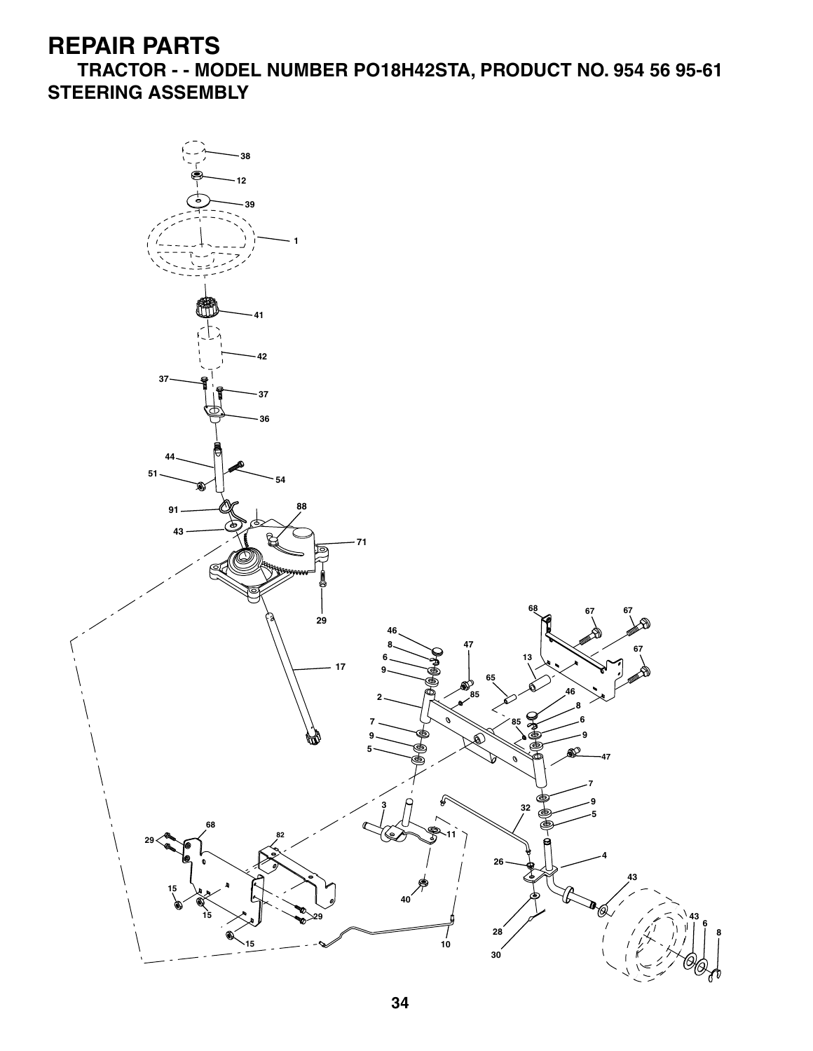**TRACTOR - - MODEL NUMBER PO18H42STA, PRODUCT NO. 954 56 95-61 STEERING ASSEMBLY**

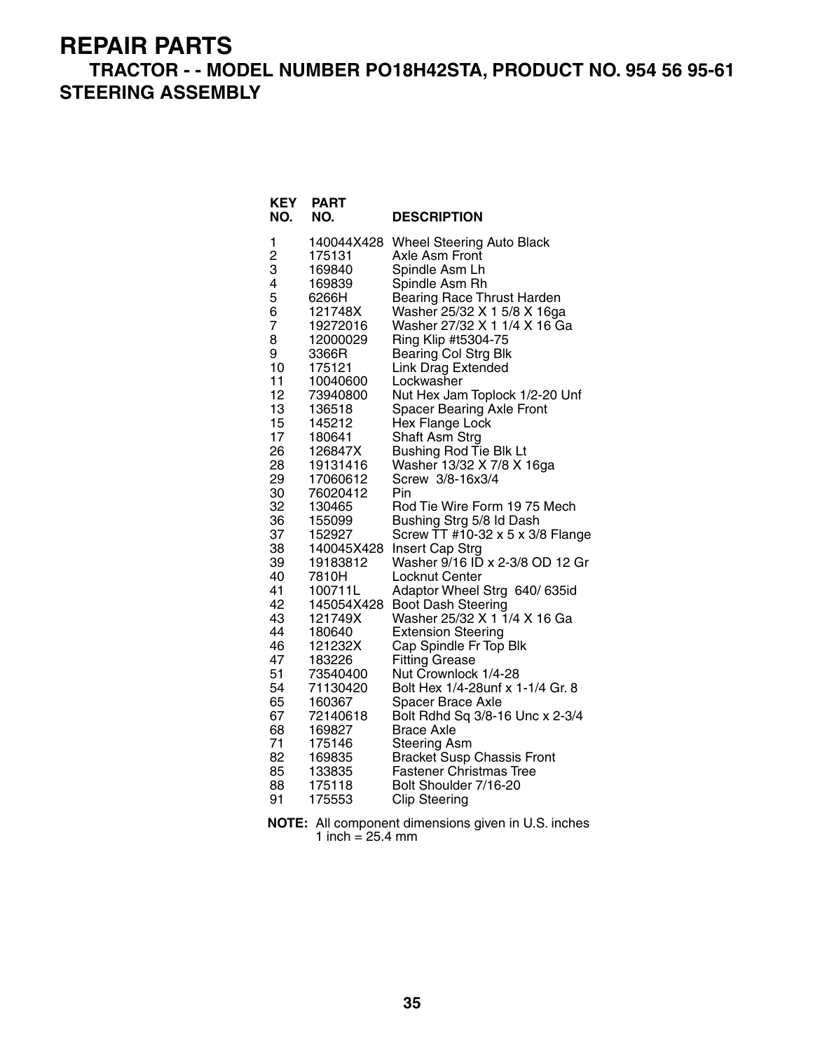#### **TRACTOR - - MODEL NUMBER PO18H42STA, PRODUCT NO. 954 56 95-61 STEERING ASSEMBLY**

| <b>KEY</b><br>NO. | <b>PART</b><br>NO. | <b>DESCRIPTION</b>                |
|-------------------|--------------------|-----------------------------------|
| 1                 | 140044X428         | <b>Wheel Steering Auto Black</b>  |
| $\overline{c}$    | 175131             | Axle Asm Front                    |
| 3                 | 169840             | Spindle Asm Lh                    |
| 4                 | 169839             | Spindle Asm Rh                    |
| 5                 | 6266H              | <b>Bearing Race Thrust Harden</b> |
| 6                 | 121748X            | Washer 25/32 X 1 5/8 X 16ga       |
| 7                 | 19272016           | Washer 27/32 X 1 1/4 X 16 Ga      |
| 8                 | 12000029           | Ring Klip #t5304-75               |
| 9                 | 3366R              | <b>Bearing Col Strg Blk</b>       |
| 10                | 175121             | <b>Link Drag Extended</b>         |
| 11                | 10040600           | Lockwasher                        |
| 12                | 73940800           | Nut Hex Jam Toplock 1/2-20 Unf    |
| 13                | 136518             | <b>Spacer Bearing Axle Front</b>  |
| 15                | 145212             | Hex Flange Lock                   |
| 17                | 180641             | Shaft Asm Strg                    |
| 26                | 126847X            | Bushing Rod Tie Blk Lt            |
| 28                | 19131416           | Washer 13/32 X 7/8 X 16ga         |
| 29                | 17060612           | Screw 3/8-16x3/4                  |
| 30                | 76020412           | Pin                               |
| 32                | 130465             | Rod Tie Wire Form 19 75 Mech      |
| 36                | 155099             | Bushing Strg 5/8 Id Dash          |
| 37                | 152927             | Screw TT #10-32 x 5 x 3/8 Flange  |
| 38                | 140045X428         | Insert Cap Strg                   |
| 39                | 19183812           | Washer 9/16 ID x 2-3/8 OD 12 Gr   |
| 40                | 7810H              | Locknut Center                    |
| 41                | 100711L            | Adaptor Wheel Strg 640/ 635id     |
| 42                | 145054X428         | <b>Boot Dash Steering</b>         |
| 43                | 121749X            | Washer 25/32 X 1 1/4 X 16 Ga      |
| 44                | 180640             | <b>Extension Steering</b>         |
| 46                | 121232X            | Cap Spindle Fr Top Blk            |
| 47                | 183226             | <b>Fitting Grease</b>             |
| 51                | 73540400           | Nut Crownlock 1/4-28              |
| 54                | 71130420           | Bolt Hex 1/4-28unf x 1-1/4 Gr. 8  |
| 65                | 160367             | Spacer Brace Axle                 |
| 67                | 72140618           | Bolt Rdhd Sq 3/8-16 Unc x 2-3/4   |
| 68                | 169827             | <b>Brace Axle</b>                 |
| 71                | 175146             | <b>Steering Asm</b>               |
| 82                | 169835             | <b>Bracket Susp Chassis Front</b> |
| 85                | 133835             | <b>Fastener Christmas Tree</b>    |
| 88                | 175118             | Bolt Shoulder 7/16-20             |
| 91                | 175553             | <b>Clip Steering</b>              |

**NOTE:** All component dimensions given in U.S. inches 1 inch  $= 25.4$  mm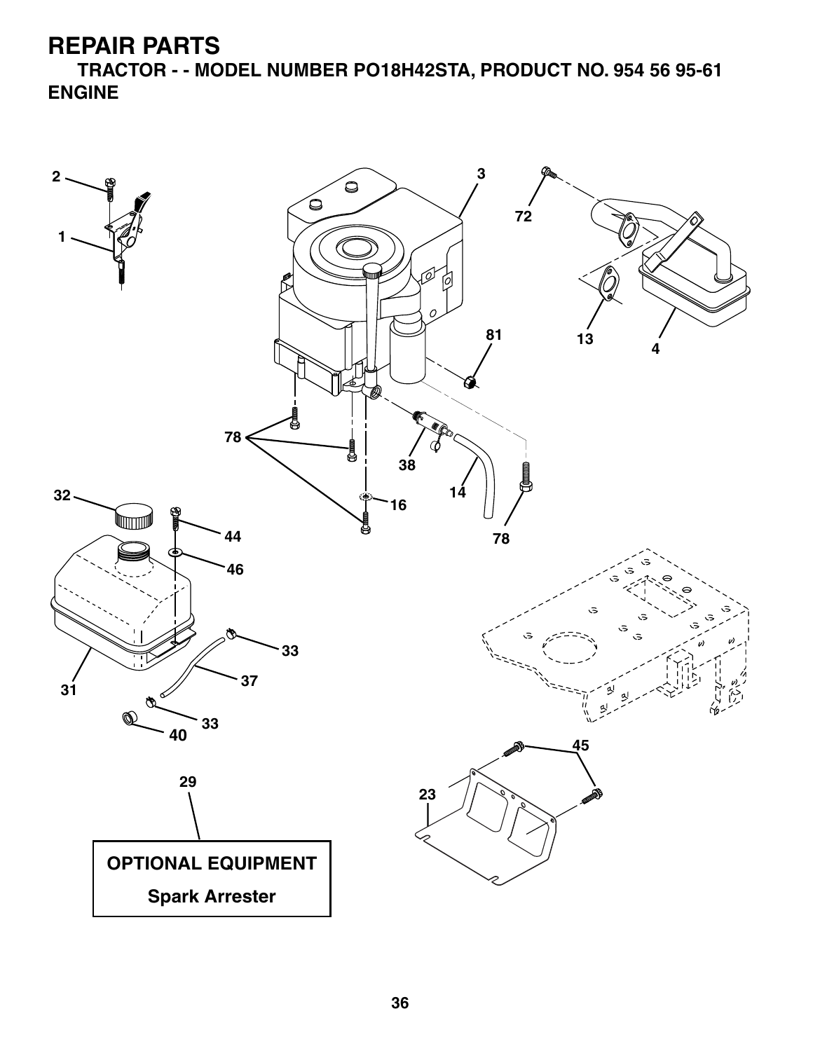**TRACTOR - - MODEL NUMBER PO18H42STA, PRODUCT NO. 954 56 95-61 ENGINE**

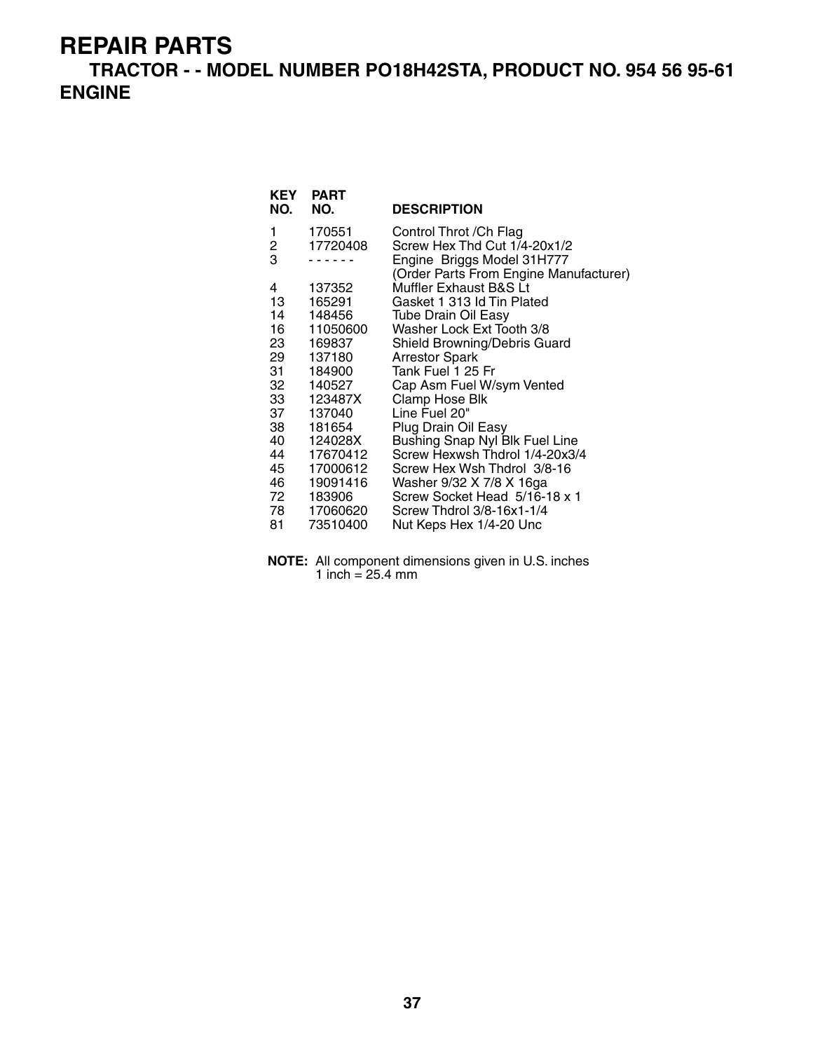**TRACTOR - - MODEL NUMBER PO18H42STA, PRODUCT NO. 954 56 95-61 ENGINE**

| <b>KEY</b><br>NO. | <b>PART</b><br>NO. | <b>DESCRIPTION</b>                                                   |
|-------------------|--------------------|----------------------------------------------------------------------|
| 1                 | 170551             | Control Throt / Ch Flag                                              |
| 2                 | 17720408           | Screw Hex Thd Cut 1/4-20x1/2                                         |
| 3                 |                    | Engine Briggs Model 31H777<br>(Order Parts From Engine Manufacturer) |
| 4                 | 137352             | Muffler Exhaust B&S Lt                                               |
| 13                | 165291             | Gasket 1 313 Id Tin Plated                                           |
| 14                | 148456             | <b>Tube Drain Oil Easy</b>                                           |
| 16 —              | 11050600           | Washer Lock Ext Tooth 3/8                                            |
| 23 —              | 169837             | Shield Browning/Debris Guard                                         |
| 29                | 137180             | <b>Arrestor Spark</b>                                                |
| 31 —              | 184900             | Tank Fuel 1 25 Fr                                                    |
| 32                | 140527             | Cap Asm Fuel W/sym Vented                                            |
|                   | 33 123487X         | Clamp Hose Blk                                                       |
| 37 —              | 137040             | Line Fuel 20"                                                        |
| 38 —              | 181654             | Plug Drain Oil Easy                                                  |
| 40                | 124028X            | Bushing Snap Nyl Blk Fuel Line                                       |
| 44 —              | 17670412           | Screw Hexwsh Thdrol 1/4-20x3/4                                       |
| 45                | 17000612           | Screw Hex Wsh Thdrol 3/8-16                                          |
| 46 —              | 19091416           | Washer 9/32 X 7/8 X 16ga                                             |
| 72 —              | 183906             | Screw Socket Head 5/16-18 x 1                                        |
| 78 —              | 17060620           | Screw Thdrol 3/8-16x1-1/4                                            |
| 81                | 73510400           | Nut Keps Hex 1/4-20 Unc                                              |

**NOTE:** All component dimensions given in U.S. inches 1 inch = 25.4 mm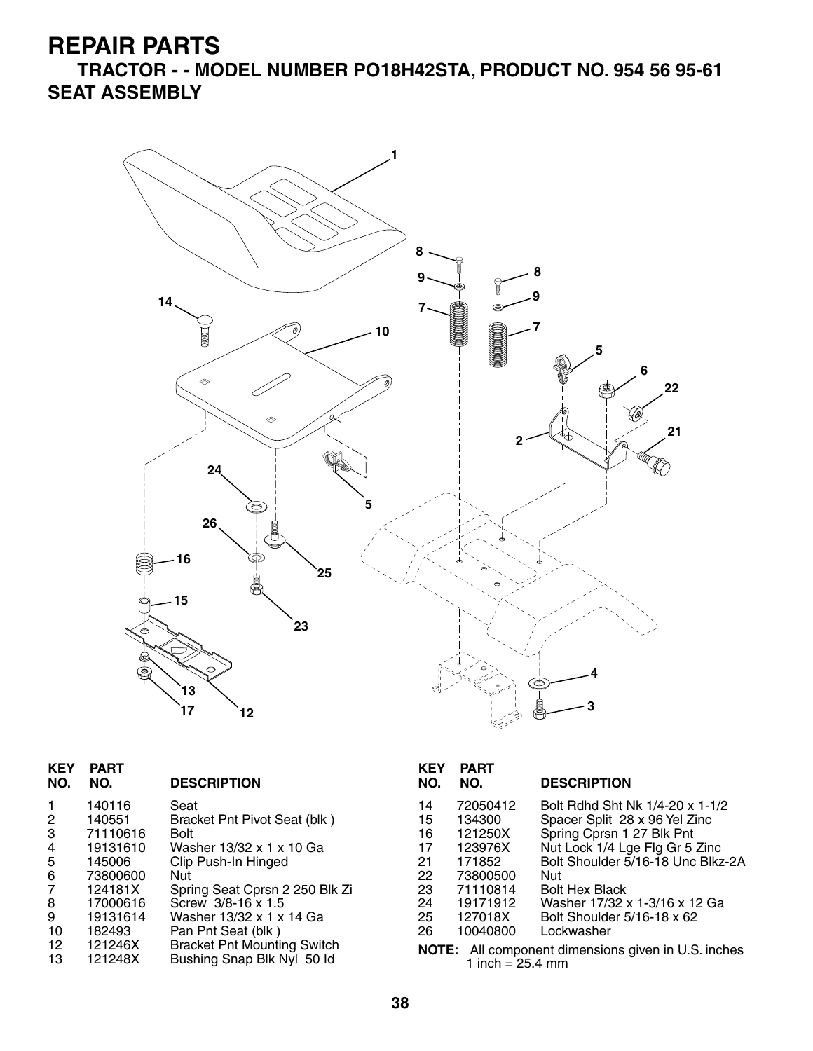**TRACTOR - - MODEL NUMBER PO18H42STA, PRODUCT NO. 954 56 95-61 SEAT ASSEMBLY**



| <b>KEY</b><br>NO. | <b>PART</b><br>NO. | <b>DESCRIPTION</b>                                               | <b>KEY</b><br>NO. | <b>PART</b><br>NO. | <b>DESCRIPTION</b>                                         |
|-------------------|--------------------|------------------------------------------------------------------|-------------------|--------------------|------------------------------------------------------------|
|                   | 140116             | Seat                                                             | 14                | 72050412           | Bolt Rdhd Sht Nk 1/4-20 x 1-1/2                            |
| $\overline{2}$    | 140551             | Bracket Pnt Pivot Seat (blk)                                     | 15                | 134300             | Spacer Split 28 x 96 Yel Zinc                              |
| 3                 | 71110616           | <b>Bolt</b>                                                      | 16                | 121250X            | Spring Cprsn 1 27 Blk Pnt                                  |
| 4                 | 19131610           | Washer 13/32 x 1 x 10 Ga                                         | 17                | 123976X            | Nut Lock 1/4 Lge Flg Gr 5 Zinc                             |
| 5                 | 145006             | Clip Push-In Hinged                                              | 21                | 171852             | Bolt Shoulder 5/16-18 Unc Blkz-2A                          |
| 6                 | 73800600           | Nut                                                              | 22                | 73800500           | Nut                                                        |
| $\overline{7}$    | 124181X            | Spring Seat Cprsn 2 250 Blk Zi                                   | 23                | 71110814           | <b>Bolt Hex Black</b>                                      |
| 8                 | 17000616           | Screw 3/8-16 x 1.5                                               | 24                | 19171912           | Washer 17/32 x 1-3/16 x 12 Ga                              |
| 9                 | 19131614           | Washer 13/32 x 1 x 14 Ga                                         | 25                | 127018X            | Bolt Shoulder 5/16-18 x 62                                 |
| 10                | 182493             | Pan Pnt Seat (blk)                                               | 26                | 10040800           | Lockwasher                                                 |
| 12<br>13          | 121246X<br>121248X | <b>Bracket Pnt Mounting Switch</b><br>Bushing Snap Blk Nyl 50 ld |                   | 1 inch = $25.4$ mm | <b>NOTE:</b> All component dimensions given in U.S. inches |

| <b>KEY</b><br>NO. | <b>PART</b><br>NO.                                         | <b>DESCRIPTION</b>                |  |  |  |
|-------------------|------------------------------------------------------------|-----------------------------------|--|--|--|
| 14                | 72050412                                                   | Bolt Rdhd Sht Nk 1/4-20 x 1-1/2   |  |  |  |
| 15                | 134300                                                     | Spacer Split 28 x 96 Yel Zinc     |  |  |  |
| 16                | 121250X                                                    | Spring Cprsn 1 27 Blk Pnt         |  |  |  |
| 17                | 123976X                                                    | Nut Lock 1/4 Lge Flg Gr 5 Zinc    |  |  |  |
| 21                | 171852                                                     | Bolt Shoulder 5/16-18 Unc Blkz-2A |  |  |  |
| 22                | 73800500                                                   | Nut                               |  |  |  |
| 23                | 71110814                                                   | <b>Bolt Hex Black</b>             |  |  |  |
| 24                | 19171912                                                   | Washer 17/32 x 1-3/16 x 12 Ga     |  |  |  |
| 25                | 127018X                                                    | Bolt Shoulder 5/16-18 x 62        |  |  |  |
| 26                | 10040800                                                   | Lockwasher                        |  |  |  |
|                   | <b>NOTE:</b> All component dimensions given in U.S. inches |                                   |  |  |  |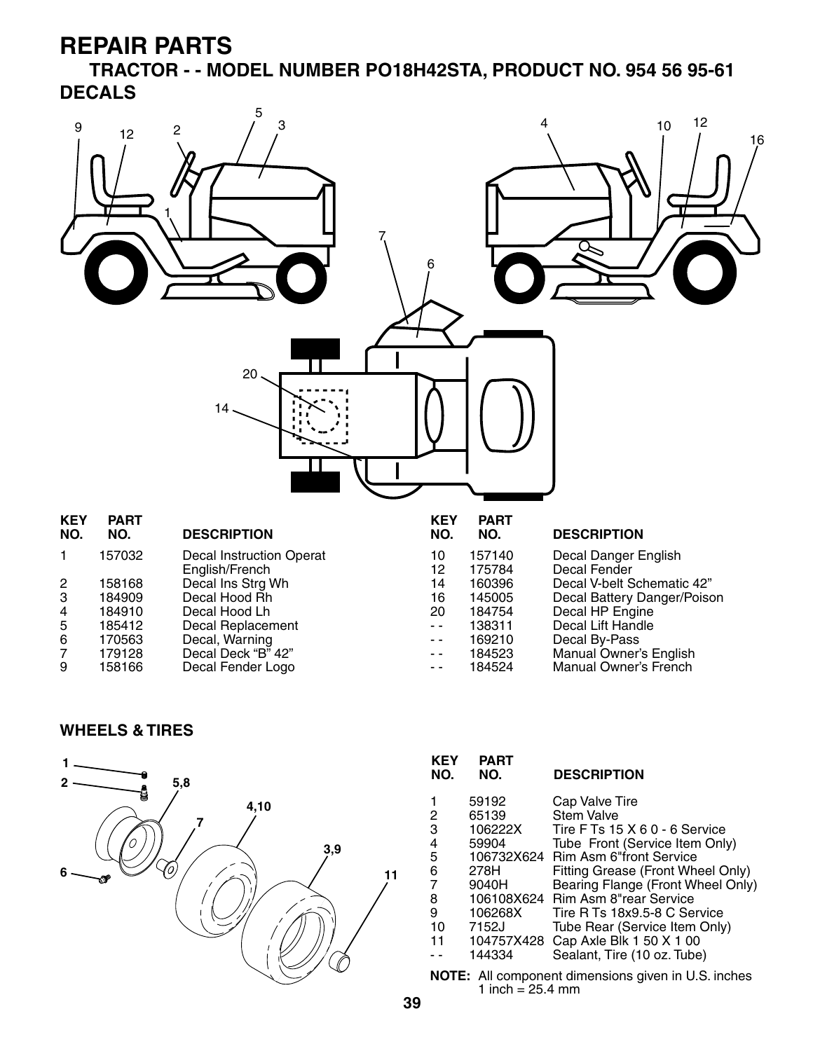**TRACTOR - - MODEL NUMBER PO18H42STA, PRODUCT NO. 954 56 95-61 DECALS**



#### **WHEELS & TIRES**



| <b>KEY</b><br>NO.                                     | PART<br>NO. | <b>DESCRIPTION</b>                |  |  |
|-------------------------------------------------------|-------------|-----------------------------------|--|--|
|                                                       | 59192       | Cap Valve Tire                    |  |  |
| 2                                                     | 65139       | <b>Stem Valve</b>                 |  |  |
| 3                                                     | 106222X     | Tire F Ts 15 X 6 0 - 6 Service    |  |  |
| 4                                                     | 59904       | Tube Front (Service Item Only)    |  |  |
| 5                                                     | 106732X624  | <b>Rim Asm 6"front Service</b>    |  |  |
| 6                                                     | 278H        | Fitting Grease (Front Wheel Only) |  |  |
| $\overline{7}$                                        | 9040H       | Bearing Flange (Front Wheel Only) |  |  |
| 8                                                     | 106108X624  | Rim Asm 8"rear Service            |  |  |
| 9                                                     | 106268X     | Tire R Ts 18x9.5-8 C Service      |  |  |
| 10                                                    | 7152J       | Tube Rear (Service Item Only)     |  |  |
| 11                                                    | 104757X428  | Cap Axle Blk 1 50 X 1 00          |  |  |
|                                                       | 144334      | Sealant, Tire (10 oz. Tube)       |  |  |
| $MATE:$ All companent dimensions given in LLC, inches |             |                                   |  |  |

All component dimensions given in U.S. inches 1 inch =  $25.4 \, \text{mm}$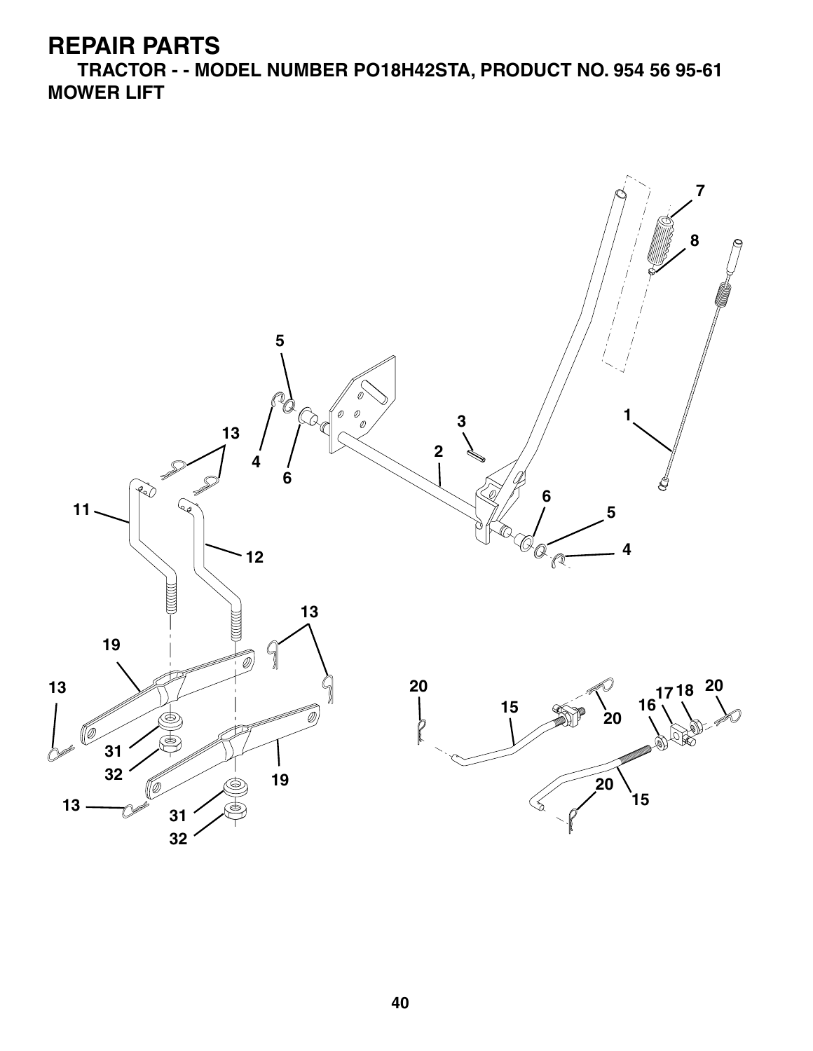**TRACTOR - - MODEL NUMBER PO18H42STA, PRODUCT NO. 954 56 95-61 MOWER LIFT**

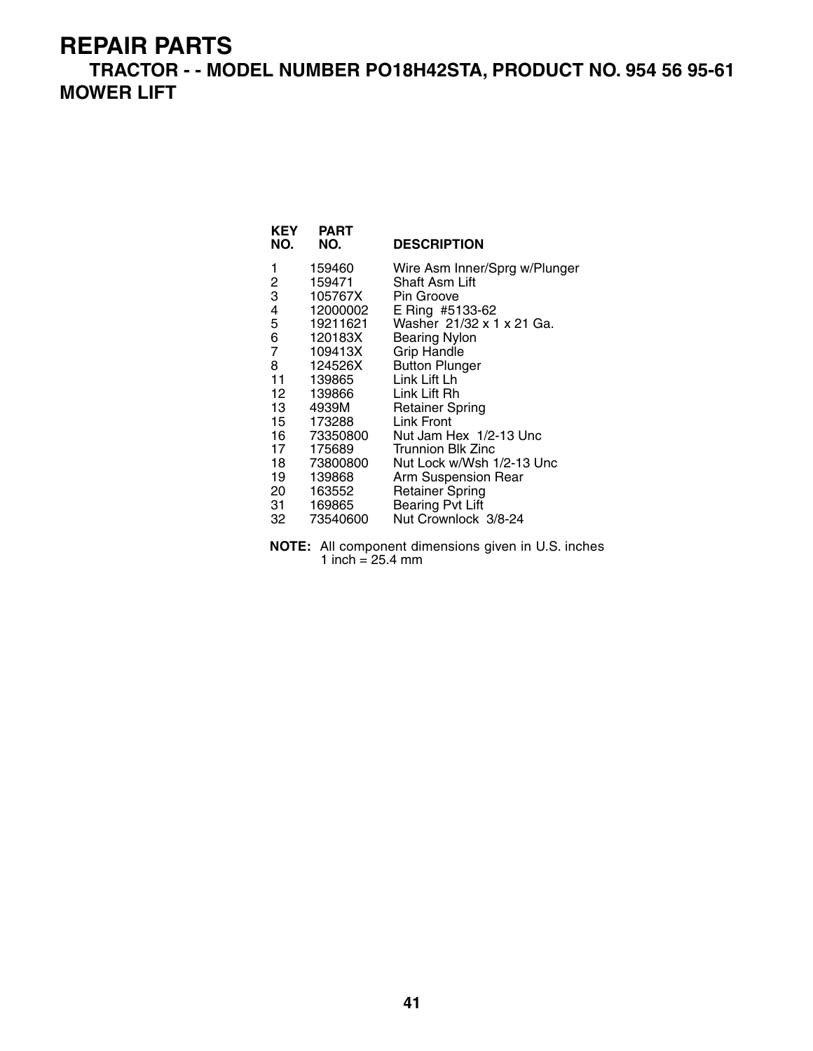**TRACTOR - - MODEL NUMBER PO18H42STA, PRODUCT NO. 954 56 95-61 MOWER LIFT**

| KEY<br>NO.     | PART<br>NO. | <b>DESCRIPTION</b>            |
|----------------|-------------|-------------------------------|
| 1              | 159460      | Wire Asm Inner/Sprg w/Plunger |
| 2              | 159471      | Shaft Asm Lift                |
| 3              | 105767X     | Pin Groove                    |
| 4              | 12000002    | E Ring #5133-62               |
| 5              | 19211621    | Washer 21/32 x 1 x 21 Ga.     |
| 6              | 120183X     | <b>Bearing Nylon</b>          |
| $\overline{7}$ | 109413X     | <b>Grip Handle</b>            |
| 8              | 124526X     | <b>Button Plunger</b>         |
| 11             | 139865      | Link Lift Lh                  |
| 12             | 139866      | Link Lift Rh                  |
| 13 —           | 4939M       | <b>Retainer Spring</b>        |
| 15             | 173288      | Link Front                    |
| 16 —           | 73350800    | Nut Jam Hex 1/2-13 Unc        |
| 17             | 175689      | Trunnion Blk Zinc             |
| 18             | 73800800    | Nut Lock w/Wsh 1/2-13 Unc     |
| 19             | 139868      | Arm Suspension Rear           |
| 20             | 163552      | <b>Retainer Spring</b>        |
| 31.            | 169865      | <b>Bearing Pvt Lift</b>       |
| 32             | 73540600    | Nut Crownlock 3/8-24          |

**NOTE:** All component dimensions given in U.S. inches 1 inch = 25.4 mm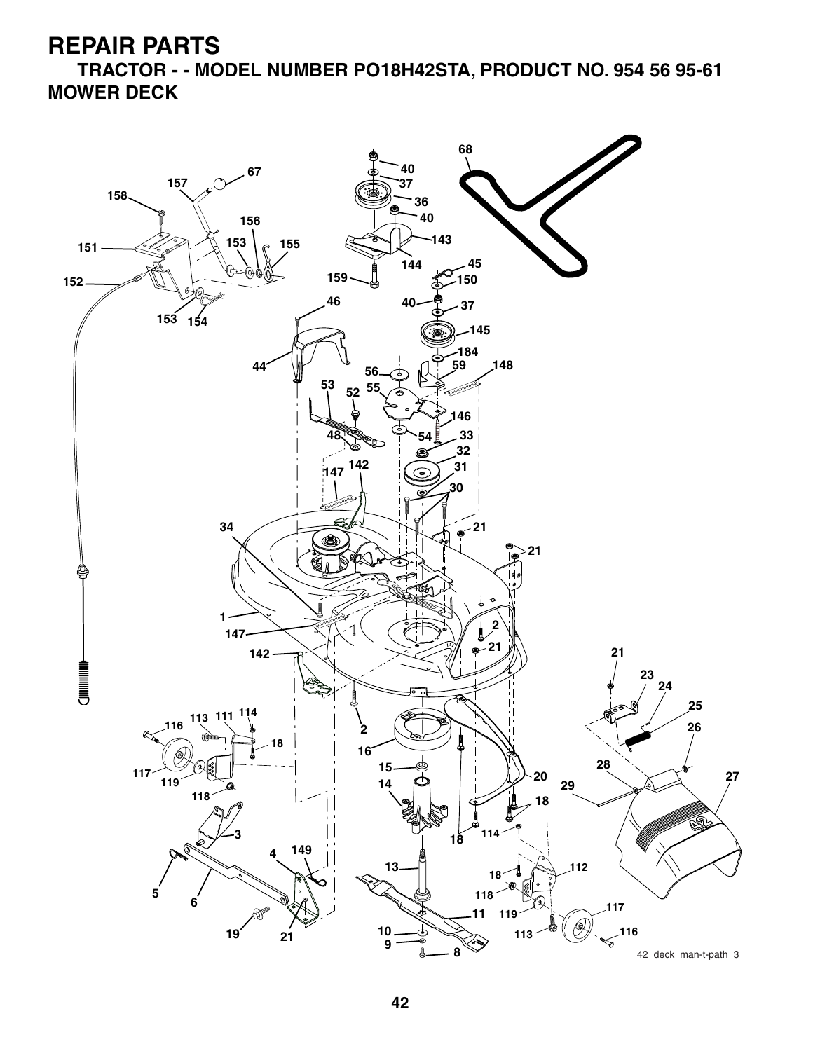**REPAIR PARTS**

**TRACTOR - - MODEL NUMBER PO18H42STA, PRODUCT NO. 954 56 95-61 MOWER DECK**